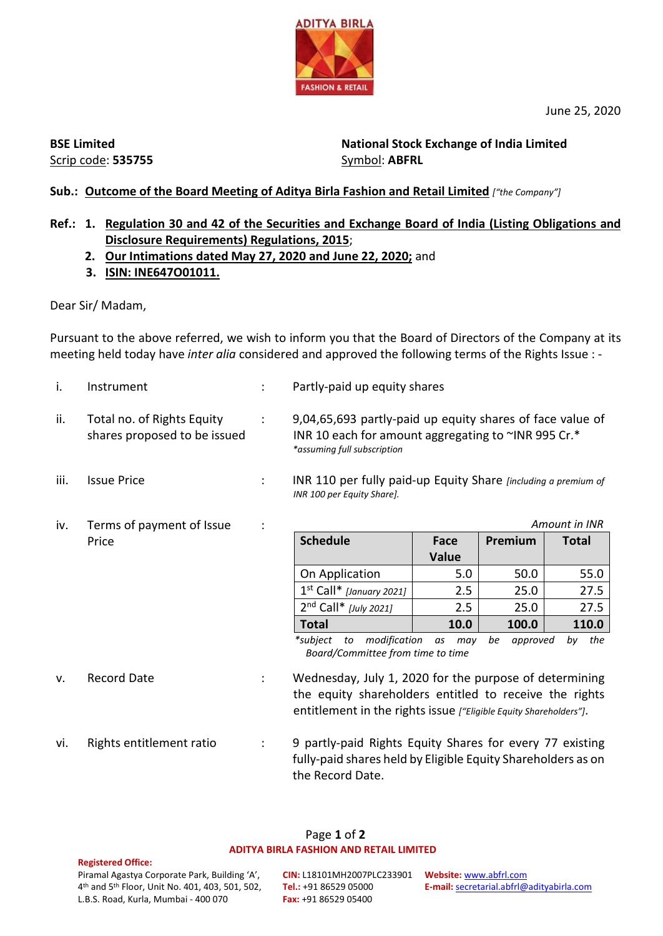

June 25, 2020

**BSE Limited** Scrip code: **535755**

**National Stock Exchange of India Limited**  Symbol: **ABFRL**

# **Sub.: Outcome of the Board Meeting of Aditya Birla Fashion and Retail Limited** *["the Company"]*

## **Ref.: 1. Regulation 30 and 42 of the Securities and Exchange Board of India (Listing Obligations and Disclosure Requirements) Regulations, 2015**;

- **2. Our Intimations dated May 27, 2020 and June 22, 2020;** and
- **3. ISIN: INE647O01011.**

Dear Sir/ Madam,

Pursuant to the above referred, we wish to inform you that the Board of Directors of the Company at its meeting held today have *inter alia* considered and approved the following terms of the Rights Issue : -

*INR 100 per Equity Share].*

- 
- i. Instrument : Partly-paid up equity shares
- ii. Total no. of Rights Equity shares proposed to be issued

: 9,04,65,693 partly-paid up equity shares of face value of INR 10 each for amount aggregating to ~INR 995 Cr.\* *\*assuming full subscription*

- iii. Issue Price *incremental COVEC 10 Per fully paid-up Equity Share <i>[including a premium of*
- iv. Terms of payment of Issue Price

: *Amount in INR*

| <b>Schedule</b>            | Face<br><b>Value</b> | Premium | <b>Total</b> |
|----------------------------|----------------------|---------|--------------|
| On Application             | 5.0                  | 50.0    | 55.0         |
| $1st$ Call* [January 2021] | 2.5                  | 25.0    | 27.5         |
| $2nd$ Call* [July 2021]    | 2.5                  | 25.0    | 27.5         |
| <b>Total</b>               | 10.0                 | 100.0   | 110.0        |

*\*subject to modification as may be approved by the Board/Committee from time to time*

- v. Record Date : Wednesday, July 1, 2020 for the purpose of determining the equity shareholders entitled to receive the rights entitlement in the rights issue *["Eligible Equity Shareholders"]*.
- vi. Rights entitlement ratio : 9 partly-paid Rights Equity Shares for every 77 existing fully-paid shares held by Eligible Equity Shareholders as on the Record Date.

### Page **1** of **2 ADITYA BIRLA FASHION AND RETAIL LIMITED**

#### **Registered Office:**

Piramal Agastya Corporate Park, Building 'A', 4th and 5th Floor, Unit No. 401, 403, 501, 502, L.B.S. Road, Kurla, Mumbai - 400 070

**CIN:** L18101MH2007PLC233901 **Website:** [www.abfrl.com](http://www.abfrl.com/) **Tel.:** +91 86529 05000 **Fax:** +91 86529 05400